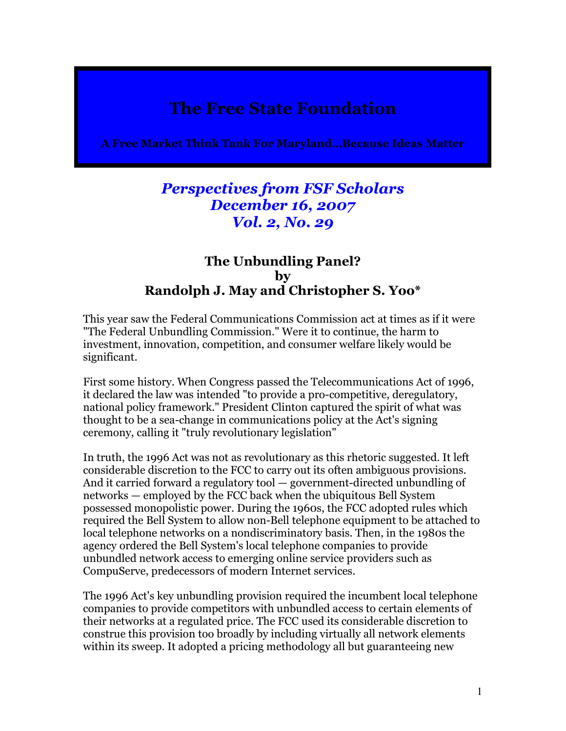## The Free State Foundation

A Free Market Think Tank For Maryland…Because Ideas Matter

## Perspectives from FSF Scholars December 16, 2007 Vol. 2, No. 29

## The Unbundling Panel? by Randolph J. May and Christopher S. Yoo\*

This year saw the Federal Communications Commission act at times as if it were "The Federal Unbundling Commission." Were it to continue, the harm to investment, innovation, competition, and consumer welfare likely would be significant.

First some history. When Congress passed the Telecommunications Act of 1996, it declared the law was intended "to provide a pro-competitive, deregulatory, national policy framework." President Clinton captured the spirit of what was thought to be a sea-change in communications policy at the Act's signing ceremony, calling it "truly revolutionary legislation"

In truth, the 1996 Act was not as revolutionary as this rhetoric suggested. It left considerable discretion to the FCC to carry out its often ambiguous provisions. And it carried forward a regulatory tool — government-directed unbundling of networks — employed by the FCC back when the ubiquitous Bell System possessed monopolistic power. During the 1960s, the FCC adopted rules which required the Bell System to allow non-Bell telephone equipment to be attached to local telephone networks on a nondiscriminatory basis. Then, in the 1980s the agency ordered the Bell System's local telephone companies to provide unbundled network access to emerging online service providers such as CompuServe, predecessors of modern Internet services.

The 1996 Act's key unbundling provision required the incumbent local telephone companies to provide competitors with unbundled access to certain elements of their networks at a regulated price. The FCC used its considerable discretion to construe this provision too broadly by including virtually all network elements within its sweep. It adopted a pricing methodology all but guaranteeing new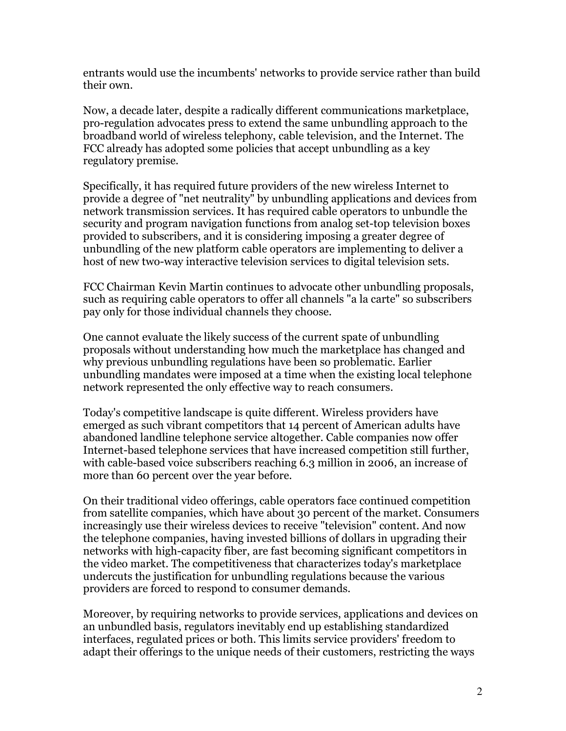entrants would use the incumbents' networks to provide service rather than build their own.

Now, a decade later, despite a radically different communications marketplace, pro-regulation advocates press to extend the same unbundling approach to the broadband world of wireless telephony, cable television, and the Internet. The FCC already has adopted some policies that accept unbundling as a key regulatory premise.

Specifically, it has required future providers of the new wireless Internet to provide a degree of "net neutrality" by unbundling applications and devices from network transmission services. It has required cable operators to unbundle the security and program navigation functions from analog set-top television boxes provided to subscribers, and it is considering imposing a greater degree of unbundling of the new platform cable operators are implementing to deliver a host of new two-way interactive television services to digital television sets.

FCC Chairman Kevin Martin continues to advocate other unbundling proposals, such as requiring cable operators to offer all channels "a la carte" so subscribers pay only for those individual channels they choose.

One cannot evaluate the likely success of the current spate of unbundling proposals without understanding how much the marketplace has changed and why previous unbundling regulations have been so problematic. Earlier unbundling mandates were imposed at a time when the existing local telephone network represented the only effective way to reach consumers.

Today's competitive landscape is quite different. Wireless providers have emerged as such vibrant competitors that 14 percent of American adults have abandoned landline telephone service altogether. Cable companies now offer Internet-based telephone services that have increased competition still further, with cable-based voice subscribers reaching 6.3 million in 2006, an increase of more than 60 percent over the year before.

On their traditional video offerings, cable operators face continued competition from satellite companies, which have about 30 percent of the market. Consumers increasingly use their wireless devices to receive "television" content. And now the telephone companies, having invested billions of dollars in upgrading their networks with high-capacity fiber, are fast becoming significant competitors in the video market. The competitiveness that characterizes today's marketplace undercuts the justification for unbundling regulations because the various providers are forced to respond to consumer demands.

Moreover, by requiring networks to provide services, applications and devices on an unbundled basis, regulators inevitably end up establishing standardized interfaces, regulated prices or both. This limits service providers' freedom to adapt their offerings to the unique needs of their customers, restricting the ways